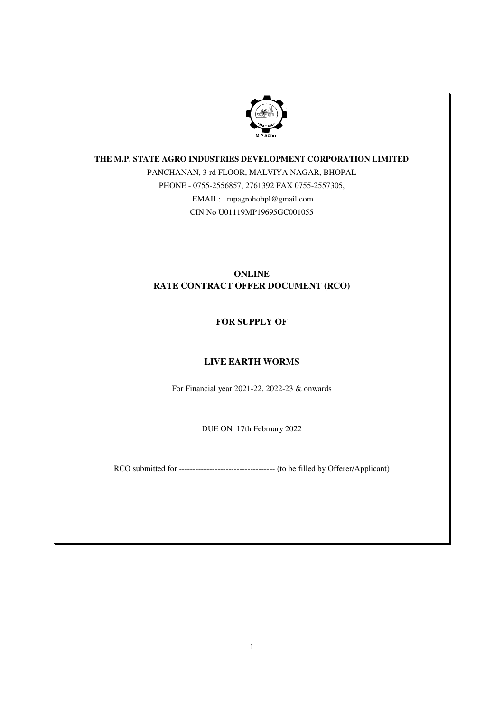

# **THE M.P. STATE AGRO INDUSTRIES DEVELOPMENT CORPORATION LIMITED**

PANCHANAN, 3 rd FLOOR, MALVIYA NAGAR, BHOPAL PHONE - 0755-2556857, 2761392 FAX 0755-2557305, EMAIL: mpagrohobpl@gmail.com CIN No U01119MP19695GC001055

# **ONLINE RATE CONTRACT OFFER DOCUMENT (RCO)**

# **FOR SUPPLY OF**

# **LIVE EARTH WORMS**

For Financial year 2021-22, 2022-23 & onwards

DUE ON 17th February 2022

RCO submitted for ----------------------------------- (to be filled by Offerer/Applicant)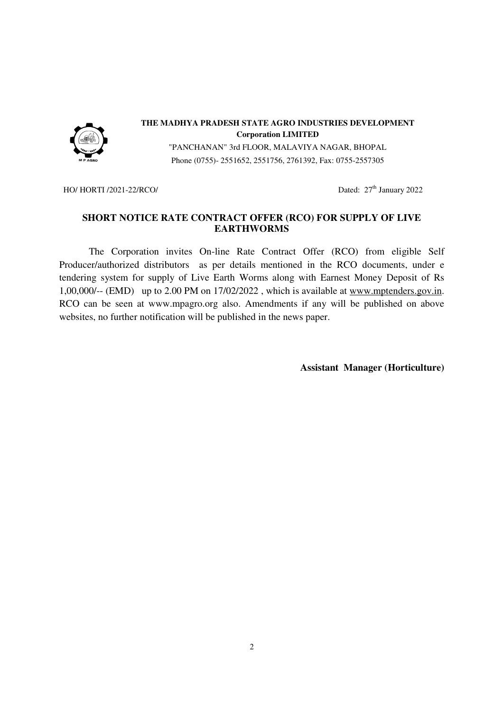

## **THE MADHYA PRADESH STATE AGRO INDUSTRIES DEVELOPMENT Corporation LIMITED**

"PANCHANAN" 3rd FLOOR, MALAVIYA NAGAR, BHOPAL Phone (0755)- 2551652, 2551756, 2761392, Fax: 0755-2557305

HO/ HORTI /2021-22/RCO/ Dated: 27<sup>th</sup> January 2022

# **SHORT NOTICE RATE CONTRACT OFFER (RCO) FOR SUPPLY OF LIVE EARTHWORMS**

 The Corporation invites On-line Rate Contract Offer (RCO) from eligible Self Producer/authorized distributors as per details mentioned in the RCO documents, under e tendering system for supply of Live Earth Worms along with Earnest Money Deposit of Rs 1,00,000/-- (EMD) up to 2.00 PM on 17/02/2022 , which is available at www.mptenders.gov.in. RCO can be seen at www.mpagro.org also. Amendments if any will be published on above websites, no further notification will be published in the news paper.

**Assistant Manager (Horticulture)**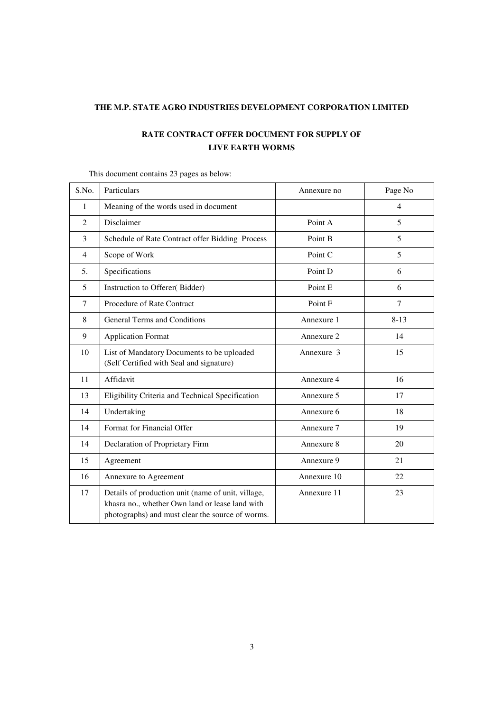## **THE M.P. STATE AGRO INDUSTRIES DEVELOPMENT CORPORATION LIMITED**

# **RATE CONTRACT OFFER DOCUMENT FOR SUPPLY OF LIVE EARTH WORMS**

| S.No.          | Particulars                                                                                                                                               | Annexure no | Page No  |
|----------------|-----------------------------------------------------------------------------------------------------------------------------------------------------------|-------------|----------|
| 1              | Meaning of the words used in document                                                                                                                     |             | 4        |
| $\overline{c}$ | Disclaimer                                                                                                                                                | Point A     | 5        |
| 3              | Schedule of Rate Contract offer Bidding Process                                                                                                           | Point B     | 5        |
| $\overline{4}$ | Scope of Work                                                                                                                                             | Point C     | 5        |
| 5.             | Specifications                                                                                                                                            | Point D     | 6        |
| 5              | Instruction to Offerer(Bidder)                                                                                                                            | Point E     | 6        |
| 7              | Procedure of Rate Contract                                                                                                                                | Point F     | 7        |
| 8              | <b>General Terms and Conditions</b>                                                                                                                       | Annexure 1  | $8 - 13$ |
| 9              | <b>Application Format</b>                                                                                                                                 | Annexure 2  | 14       |
| 10             | List of Mandatory Documents to be uploaded<br>(Self Certified with Seal and signature)                                                                    | Annexure 3  | 15       |
| 11             | Affidavit                                                                                                                                                 | Annexure 4  | 16       |
| 13             | Eligibility Criteria and Technical Specification                                                                                                          | Annexure 5  | 17       |
| 14             | Undertaking                                                                                                                                               | Annexure 6  | 18       |
| 14             | Format for Financial Offer                                                                                                                                | Annexure 7  | 19       |
| 14             | Declaration of Proprietary Firm                                                                                                                           | Annexure 8  | 20       |
| 15             | Agreement                                                                                                                                                 | Annexure 9  | 21       |
| 16             | Annexure to Agreement                                                                                                                                     | Annexure 10 | 22       |
| 17             | Details of production unit (name of unit, village,<br>khasra no., whether Own land or lease land with<br>photographs) and must clear the source of worms. | Annexure 11 | 23       |

# This document contains 23 pages as below: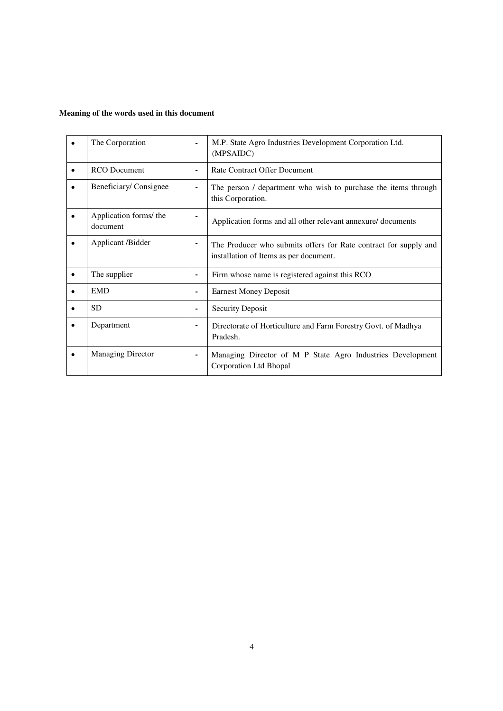# **Meaning of the words used in this document**

|           | The Corporation                    | $\blacksquare$ | M.P. State Agro Industries Development Corporation Ltd.<br>(MPSAIDC)                                       |
|-----------|------------------------------------|----------------|------------------------------------------------------------------------------------------------------------|
| $\bullet$ | RCO Document                       | ٠              | Rate Contract Offer Document                                                                               |
|           | Beneficiary/Consignee              | ۰              | The person / department who wish to purchase the items through<br>this Corporation.                        |
|           | Application forms/ the<br>document |                | Application forms and all other relevant annexure/ documents                                               |
|           | Applicant /Bidder                  | -              | The Producer who submits offers for Rate contract for supply and<br>installation of Items as per document. |
|           | The supplier                       | ۰              | Firm whose name is registered against this RCO                                                             |
|           | <b>EMD</b>                         | ٠              | <b>Earnest Money Deposit</b>                                                                               |
|           | <b>SD</b>                          | -              | <b>Security Deposit</b>                                                                                    |
|           | Department                         |                | Directorate of Horticulture and Farm Forestry Govt. of Madhya<br>Pradesh.                                  |
|           | <b>Managing Director</b>           | $\blacksquare$ | Managing Director of M P State Agro Industries Development<br>Corporation Ltd Bhopal                       |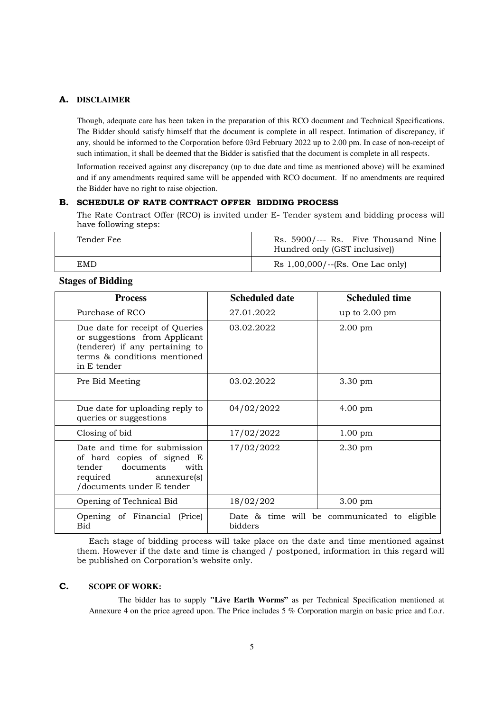#### **A. DISCLAIMER**

Though, adequate care has been taken in the preparation of this RCO document and Technical Specifications. The Bidder should satisfy himself that the document is complete in all respect. Intimation of discrepancy, if any, should be informed to the Corporation before 03rd February 2022 up to 2.00 pm. In case of non-receipt of such intimation, it shall be deemed that the Bidder is satisfied that the document is complete in all respects.

 Information received against any discrepancy (up to due date and time as mentioned above) will be examined and if any amendments required same will be appended with RCO document. If no amendments are required the Bidder have no right to raise objection.

### **B. SCHEDULE OF RATE CONTRACT OFFER BIDDING PROCESS**

The Rate Contract Offer (RCO) is invited under E- Tender system and bidding process will have following steps:

| Tender Fee | Rs. 5900/--- Rs. Five Thousand Nine<br>Hundred only (GST inclusive)) |
|------------|----------------------------------------------------------------------|
| EMD        | Rs $1,00,000/ -$ (Rs. One Lac only)                                  |

## **Stages of Bidding**

| <b>Process</b>                                                                                                                                     | <b>Scheduled date</b> | <b>Scheduled time</b>                        |
|----------------------------------------------------------------------------------------------------------------------------------------------------|-----------------------|----------------------------------------------|
| Purchase of RCO                                                                                                                                    | 27.01.2022            | up to $2.00 \text{ pm}$                      |
| Due date for receipt of Queries<br>or suggestions from Applicant<br>(tenderer) if any pertaining to<br>terms & conditions mentioned<br>in E tender | 03.02.2022            | $2.00 \text{ pm}$                            |
| Pre Bid Meeting                                                                                                                                    | 03.02.2022            | 3.30 pm                                      |
| Due date for uploading reply to<br>queries or suggestions                                                                                          | 04/02/2022            | $4.00 \text{ pm}$                            |
| Closing of bid                                                                                                                                     | 17/02/2022            | $1.00 \text{ pm}$                            |
| Date and time for submission<br>of hard copies of signed E<br>tender<br>documents<br>with<br>required<br>annexure(s)<br>/documents under E tender  | 17/02/2022            | $2.30 \text{ pm}$                            |
| Opening of Technical Bid                                                                                                                           | 18/02/202             | $3.00 \text{ pm}$                            |
| Opening of Financial (Price)<br>Bid                                                                                                                | bidders               | Date & time will be communicated to eligible |

Each stage of bidding process will take place on the date and time mentioned against them. However if the date and time is changed / postponed, information in this regard will be published on Corporation's website only.

### **C. SCOPE OF WORK:**

 The bidder has to supply **"Live Earth Worms"** as per Technical Specification mentioned at Annexure 4 on the price agreed upon. The Price includes 5 % Corporation margin on basic price and f.o.r.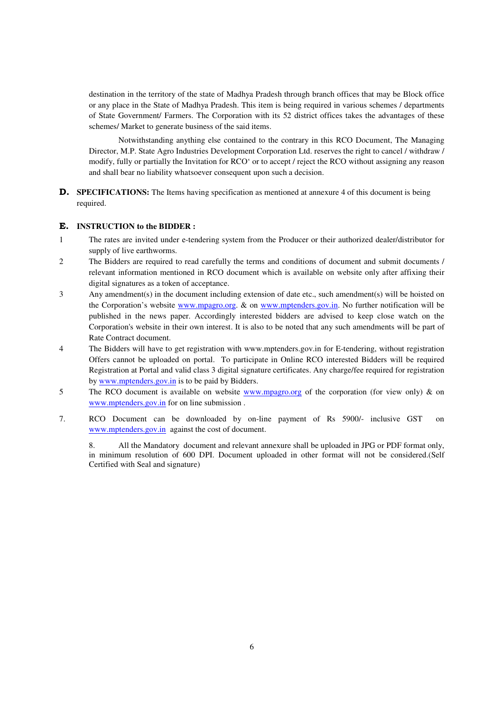destination in the territory of the state of Madhya Pradesh through branch offices that may be Block office or any place in the State of Madhya Pradesh. This item is being required in various schemes / departments of State Government/ Farmers. The Corporation with its 52 district offices takes the advantages of these schemes/ Market to generate business of the said items.

 Notwithstanding anything else contained to the contrary in this RCO Document, The Managing Director, M.P. State Agro Industries Development Corporation Ltd. reserves the right to cancel / withdraw / modify, fully or partially the Invitation for RCO' or to accept / reject the RCO without assigning any reason and shall bear no liability whatsoever consequent upon such a decision.

**D. SPECIFICATIONS:** The Items having specification as mentioned at annexure 4 of this document is being required.

### **E. INSTRUCTION to the BIDDER :**

- 1 The rates are invited under e-tendering system from the Producer or their authorized dealer/distributor for supply of live earthworms.
- 2 The Bidders are required to read carefully the terms and conditions of document and submit documents / relevant information mentioned in RCO document which is available on website only after affixing their digital signatures as a token of acceptance.
- 3 Any amendment(s) in the document including extension of date etc., such amendment(s) will be hoisted on the Corporation's website www.mpagro.org. & on www.mptenders.gov.in. No further notification will be published in the news paper. Accordingly interested bidders are advised to keep close watch on the Corporation's website in their own interest. It is also to be noted that any such amendments will be part of Rate Contract document.
- 4 The Bidders will have to get registration with www.mptenders.gov.in for E-tendering, without registration Offers cannot be uploaded on portal. To participate in Online RCO interested Bidders will be required Registration at Portal and valid class 3 digital signature certificates. Any charge/fee required for registration by www.mptenders.gov.in is to be paid by Bidders.
- 5 The RCO document is available on website www.mpagro.org of the corporation (for view only) & on www.mptenders.gov.in for on line submission .
- 7. RCO Document can be downloaded by on-line payment of Rs 5900/- inclusive GST on www.mptenders.gov.in against the cost of document.

8. All the Mandatory document and relevant annexure shall be uploaded in JPG or PDF format only, in minimum resolution of 600 DPI. Document uploaded in other format will not be considered.(Self Certified with Seal and signature)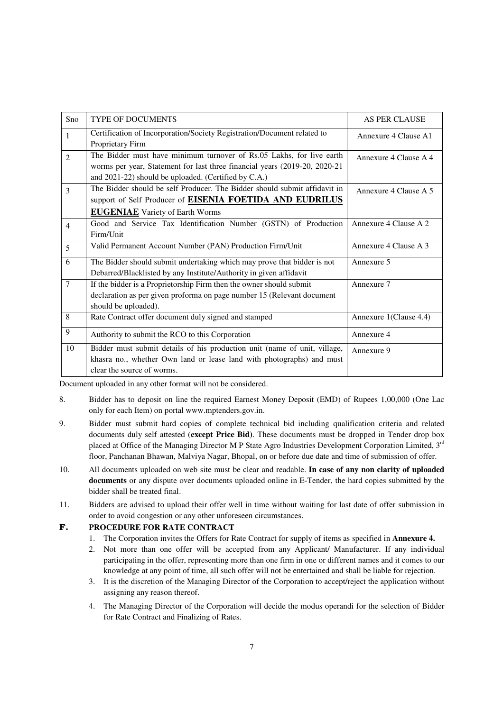| Sno            | <b>TYPE OF DOCUMENTS</b>                                                    | <b>AS PER CLAUSE</b>   |
|----------------|-----------------------------------------------------------------------------|------------------------|
| $\mathbf{1}$   | Certification of Incorporation/Society Registration/Document related to     | Annexure 4 Clause A1   |
|                | Proprietary Firm                                                            |                        |
| $\overline{2}$ | The Bidder must have minimum turnover of Rs.05 Lakhs, for live earth        | Annexure 4 Clause A 4  |
|                | worms per year, Statement for last three financial years (2019-20, 2020-21) |                        |
|                | and 2021-22) should be uploaded. (Certified by C.A.)                        |                        |
| $\mathcal{E}$  | The Bidder should be self Producer. The Bidder should submit affidavit in   | Annexure 4 Clause A 5  |
|                | support of Self Producer of <b>EISENIA FOETIDA AND EUDRILUS</b>             |                        |
|                | <b>EUGENIAE</b> Variety of Earth Worms                                      |                        |
| $\overline{4}$ | Good and Service Tax Identification Number (GSTN) of Production             | Annexure 4 Clause A 2  |
|                | Firm/Unit                                                                   |                        |
| 5              | Valid Permanent Account Number (PAN) Production Firm/Unit                   | Annexure 4 Clause A 3  |
| 6              | The Bidder should submit undertaking which may prove that bidder is not     | Annexure 5             |
|                | Debarred/Blacklisted by any Institute/Authority in given affidavit          |                        |
| $\tau$         | If the bidder is a Proprietorship Firm then the owner should submit         | Annexure 7             |
|                | declaration as per given proforma on page number 15 (Relevant document      |                        |
|                | should be uploaded).                                                        |                        |
| 8              | Rate Contract offer document duly signed and stamped                        | Annexure 1(Clause 4.4) |
| 9              | Authority to submit the RCO to this Corporation                             | Annexure 4             |
| 10             | Bidder must submit details of his production unit (name of unit, village,   | Annexure 9             |
|                | khasra no., whether Own land or lease land with photographs) and must       |                        |
|                | clear the source of worms.                                                  |                        |

Document uploaded in any other format will not be considered.

- 8. Bidder has to deposit on line the required Earnest Money Deposit (EMD) of Rupees 1,00,000 (One Lac only for each Item) on portal www.mptenders.gov.in.
- 9. Bidder must submit hard copies of complete technical bid including qualification criteria and related documents duly self attested (**except Price Bid)**. These documents must be dropped in Tender drop box placed at Office of the Managing Director M P State Agro Industries Development Corporation Limited, 3rd floor, Panchanan Bhawan, Malviya Nagar, Bhopal, on or before due date and time of submission of offer.
- 10. All documents uploaded on web site must be clear and readable. **In case of any non clarity of uploaded documents** or any dispute over documents uploaded online in E-Tender, the hard copies submitted by the bidder shall be treated final.
- 11. Bidders are advised to upload their offer well in time without waiting for last date of offer submission in order to avoid congestion or any other unforeseen circumstances.

### **F. PROCEDURE FOR RATE CONTRACT**

- 1. The Corporation invites the Offers for Rate Contract for supply of items as specified in **Annexure 4.**
- 2. Not more than one offer will be accepted from any Applicant/ Manufacturer. If any individual participating in the offer, representing more than one firm in one or different names and it comes to our knowledge at any point of time, all such offer will not be entertained and shall be liable for rejection.
- 3. It is the discretion of the Managing Director of the Corporation to accept/reject the application without assigning any reason thereof.
- 4. The Managing Director of the Corporation will decide the modus operandi for the selection of Bidder for Rate Contract and Finalizing of Rates.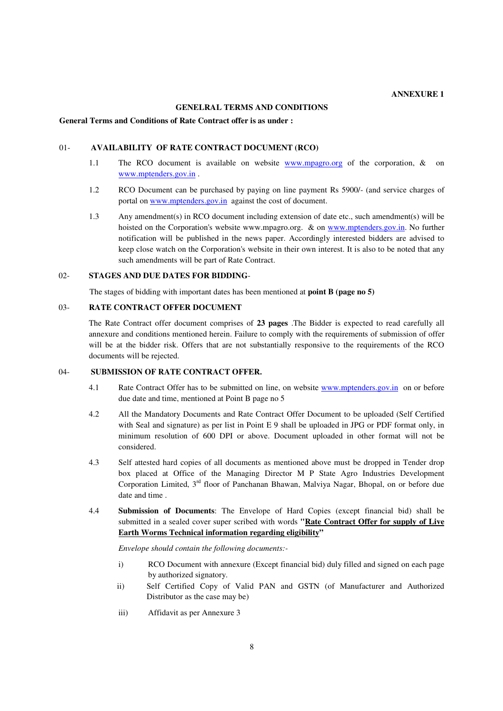#### **GENELRAL TERMS AND CONDITIONS**

#### **General Terms and Conditions of Rate Contract offer is as under :**

#### 01- **AVAILABILITY OF RATE CONTRACT DOCUMENT (RCO)**

- 1.1 The RCO document is available on website www.mpagro.org of the corporation, & on www.mptenders.gov.in .
- 1.2 RCO Document can be purchased by paying on line payment Rs 5900/- (and service charges of portal on www.mptenders.gov.in against the cost of document.
- 1.3 Any amendment(s) in RCO document including extension of date etc., such amendment(s) will be hoisted on the Corporation's website www.mpagro.org. & on www.mptenders.gov.in. No further notification will be published in the news paper. Accordingly interested bidders are advised to keep close watch on the Corporation's website in their own interest. It is also to be noted that any such amendments will be part of Rate Contract.

#### 02- **STAGES AND DUE DATES FOR BIDDING**-

The stages of bidding with important dates has been mentioned at **point B (page no 5)** 

#### 03- **RATE CONTRACT OFFER DOCUMENT**

The Rate Contract offer document comprises of **23 pages** .The Bidder is expected to read carefully all annexure and conditions mentioned herein. Failure to comply with the requirements of submission of offer will be at the bidder risk. Offers that are not substantially responsive to the requirements of the RCO documents will be rejected.

#### 04- **SUBMISSION OF RATE CONTRACT OFFER.**

- 4.1 Rate Contract Offer has to be submitted on line, on website www.mptenders.gov.in on or before due date and time, mentioned at Point B page no 5
- 4.2 All the Mandatory Documents and Rate Contract Offer Document to be uploaded (Self Certified with Seal and signature) as per list in Point E 9 shall be uploaded in JPG or PDF format only, in minimum resolution of 600 DPI or above. Document uploaded in other format will not be considered.
- 4.3 Self attested hard copies of all documents as mentioned above must be dropped in Tender drop box placed at Office of the Managing Director M P State Agro Industries Development Corporation Limited, 3rd floor of Panchanan Bhawan, Malviya Nagar, Bhopal, on or before due date and time .
- 4.4 **Submission of Documents**: The Envelope of Hard Copies (except financial bid) shall be submitted in a sealed cover super scribed with words **"Rate Contract Offer for supply of Live Earth Worms Technical information regarding eligibility"**

*Envelope should contain the following documents:-*

- i) RCO Document with annexure (Except financial bid) duly filled and signed on each page by authorized signatory.
- ii) Self Certified Copy of Valid PAN and GSTN (of Manufacturer and Authorized Distributor as the case may be)
- iii) Affidavit as per Annexure 3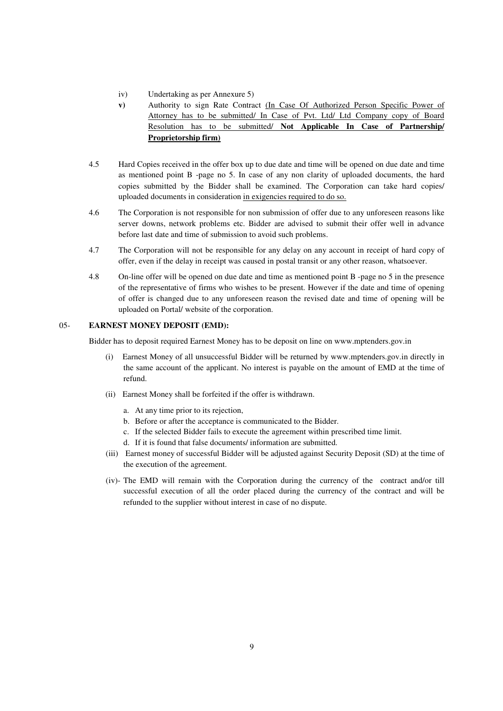- iv) Undertaking as per Annexure 5)
- **v)** Authority to sign Rate Contract (In Case Of Authorized Person Specific Power of Attorney has to be submitted/ In Case of Pvt. Ltd/ Ltd Company copy of Board Resolution has to be submitted/ **Not Applicable In Case of Partnership/ Proprietorship firm)**
- 4.5 Hard Copies received in the offer box up to due date and time will be opened on due date and time as mentioned point B -page no 5. In case of any non clarity of uploaded documents, the hard copies submitted by the Bidder shall be examined. The Corporation can take hard copies/ uploaded documents in consideration in exigencies required to do so.
- 4.6 The Corporation is not responsible for non submission of offer due to any unforeseen reasons like server downs, network problems etc. Bidder are advised to submit their offer well in advance before last date and time of submission to avoid such problems.
- 4.7 The Corporation will not be responsible for any delay on any account in receipt of hard copy of offer, even if the delay in receipt was caused in postal transit or any other reason, whatsoever.
- 4.8 On-line offer will be opened on due date and time as mentioned point B -page no 5 in the presence of the representative of firms who wishes to be present. However if the date and time of opening of offer is changed due to any unforeseen reason the revised date and time of opening will be uploaded on Portal/ website of the corporation.

### 05- **EARNEST MONEY DEPOSIT (EMD):**

Bidder has to deposit required Earnest Money has to be deposit on line on www.mptenders.gov.in

- (i) Earnest Money of all unsuccessful Bidder will be returned by www.mptenders.gov.in directly in the same account of the applicant. No interest is payable on the amount of EMD at the time of refund.
- (ii) Earnest Money shall be forfeited if the offer is withdrawn.
	- a. At any time prior to its rejection,
	- b. Before or after the acceptance is communicated to the Bidder.
	- c. If the selected Bidder fails to execute the agreement within prescribed time limit.
	- d. If it is found that false documents/ information are submitted.
- (iii) Earnest money of successful Bidder will be adjusted against Security Deposit (SD) at the time of the execution of the agreement.
- (iv)- The EMD will remain with the Corporation during the currency of the contract and/or till successful execution of all the order placed during the currency of the contract and will be refunded to the supplier without interest in case of no dispute.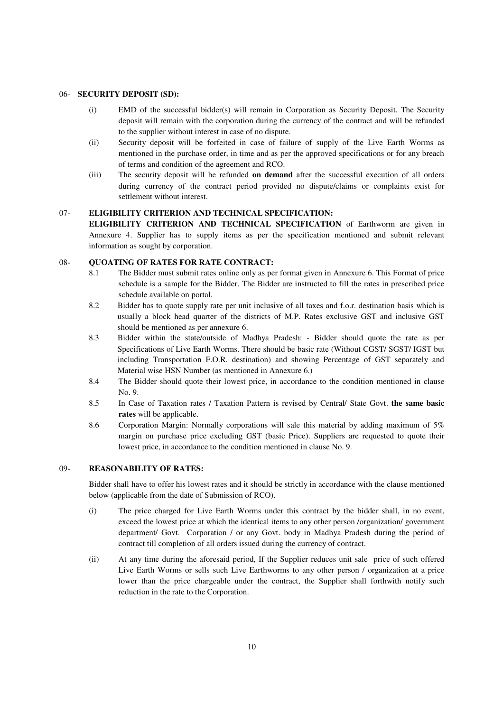#### 06- **SECURITY DEPOSIT (SD):**

- (i) EMD of the successful bidder(s) will remain in Corporation as Security Deposit. The Security deposit will remain with the corporation during the currency of the contract and will be refunded to the supplier without interest in case of no dispute.
- (ii) Security deposit will be forfeited in case of failure of supply of the Live Earth Worms as mentioned in the purchase order, in time and as per the approved specifications or for any breach of terms and condition of the agreement and RCO.
- (iii) The security deposit will be refunded **on demand** after the successful execution of all orders during currency of the contract period provided no dispute/claims or complaints exist for settlement without interest.

#### 07- **ELIGIBILITY CRITERION AND TECHNICAL SPECIFICATION:**

**ELIGIBILITY CRITERION AND TECHNICAL SPECIFICATION** of Earthworm are given in Annexure 4. Supplier has to supply items as per the specification mentioned and submit relevant information as sought by corporation.

### 08- **QUOATING OF RATES FOR RATE CONTRACT:**

- 8.1 The Bidder must submit rates online only as per format given in Annexure 6. This Format of price schedule is a sample for the Bidder. The Bidder are instructed to fill the rates in prescribed price schedule available on portal.
- 8.2 Bidder has to quote supply rate per unit inclusive of all taxes and f.o.r. destination basis which is usually a block head quarter of the districts of M.P. Rates exclusive GST and inclusive GST should be mentioned as per annexure 6.
- 8.3 Bidder within the state/outside of Madhya Pradesh: Bidder should quote the rate as per Specifications of Live Earth Worms. There should be basic rate (Without CGST/ SGST/ IGST but including Transportation F.O.R. destination) and showing Percentage of GST separately and Material wise HSN Number (as mentioned in Annexure 6.)
- 8.4 The Bidder should quote their lowest price, in accordance to the condition mentioned in clause No. 9.
- 8.5 In Case of Taxation rates / Taxation Pattern is revised by Central/ State Govt. **the same basic rates** will be applicable.
- 8.6 Corporation Margin: Normally corporations will sale this material by adding maximum of 5% margin on purchase price excluding GST (basic Price). Suppliers are requested to quote their lowest price, in accordance to the condition mentioned in clause No. 9.

### 09- **REASONABILITY OF RATES:**

Bidder shall have to offer his lowest rates and it should be strictly in accordance with the clause mentioned below (applicable from the date of Submission of RCO).

- (i) The price charged for Live Earth Worms under this contract by the bidder shall, in no event, exceed the lowest price at which the identical items to any other person /organization/ government department/ Govt. Corporation / or any Govt. body in Madhya Pradesh during the period of contract till completion of all orders issued during the currency of contract.
- (ii) At any time during the aforesaid period, If the Supplier reduces unit sale price of such offered Live Earth Worms or sells such Live Earthworms to any other person / organization at a price lower than the price chargeable under the contract, the Supplier shall forthwith notify such reduction in the rate to the Corporation.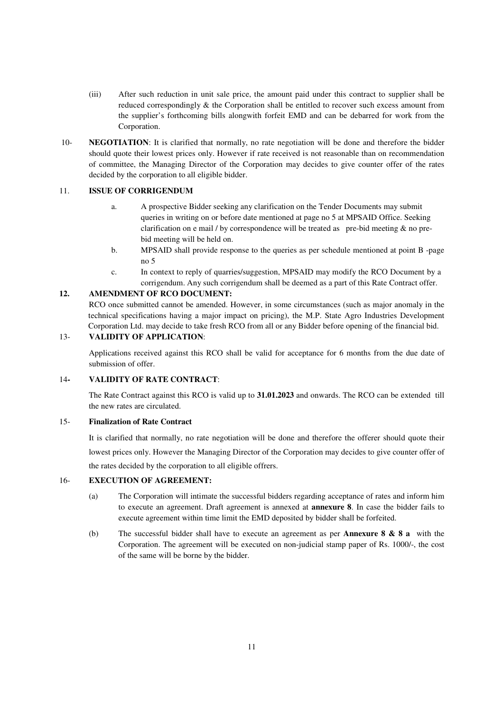- (iii) After such reduction in unit sale price, the amount paid under this contract to supplier shall be reduced correspondingly & the Corporation shall be entitled to recover such excess amount from the supplier's forthcoming bills alongwith forfeit EMD and can be debarred for work from the Corporation.
- 10- **NEGOTIATION**: It is clarified that normally, no rate negotiation will be done and therefore the bidder should quote their lowest prices only. However if rate received is not reasonable than on recommendation of committee, the Managing Director of the Corporation may decides to give counter offer of the rates decided by the corporation to all eligible bidder.

### 11. **ISSUE OF CORRIGENDUM**

- a. A prospective Bidder seeking any clarification on the Tender Documents may submit queries in writing on or before date mentioned at page no 5 at MPSAID Office. Seeking clarification on e mail / by correspondence will be treated as pre-bid meeting  $\&$  no prebid meeting will be held on.
- b. MPSAID shall provide response to the queries as per schedule mentioned at point B -page no 5
- c. In context to reply of quarries/suggestion, MPSAID may modify the RCO Document by a corrigendum. Any such corrigendum shall be deemed as a part of this Rate Contract offer.

#### **12. AMENDMENT OF RCO DOCUMENT:**

RCO once submitted cannot be amended. However, in some circumstances (such as major anomaly in the technical specifications having a major impact on pricing), the M.P. State Agro Industries Development Corporation Ltd. may decide to take fresh RCO from all or any Bidder before opening of the financial bid.

#### 13- **VALIDITY OF APPLICATION**:

 Applications received against this RCO shall be valid for acceptance for 6 months from the due date of submission of offer.

#### 14**- VALIDITY OF RATE CONTRACT**:

 The Rate Contract against this RCO is valid up to **31.01.2023** and onwards. The RCO can be extended till the new rates are circulated.

#### 15- **Finalization of Rate Contract**

 It is clarified that normally, no rate negotiation will be done and therefore the offerer should quote their lowest prices only. However the Managing Director of the Corporation may decides to give counter offer of the rates decided by the corporation to all eligible offrers.

#### 16- **EXECUTION OF AGREEMENT:**

- (a) The Corporation will intimate the successful bidders regarding acceptance of rates and inform him to execute an agreement. Draft agreement is annexed at **annexure 8**. In case the bidder fails to execute agreement within time limit the EMD deposited by bidder shall be forfeited.
- (b) The successful bidder shall have to execute an agreement as per **Annexure 8 & 8 a** with the Corporation. The agreement will be executed on non-judicial stamp paper of Rs. 1000/-, the cost of the same will be borne by the bidder.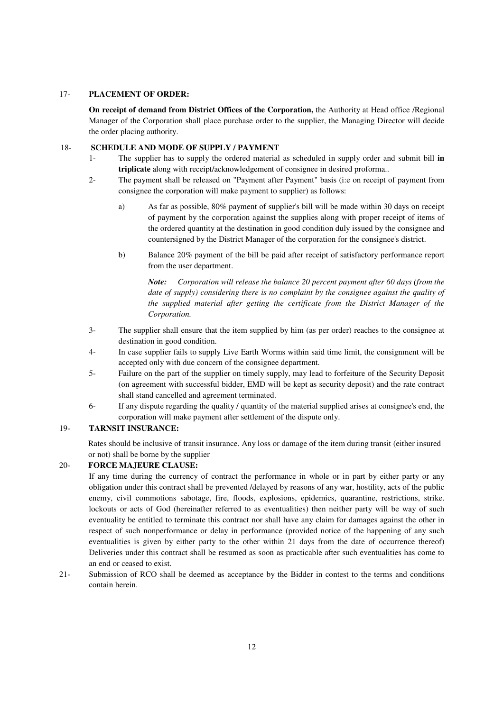#### 17- **PLACEMENT OF ORDER:**

 **On receipt of demand from District Offices of the Corporation,** the Authority at Head office /Regional Manager of the Corporation shall place purchase order to the supplier, the Managing Director will decide the order placing authority.

#### 18- **SCHEDULE AND MODE OF SUPPLY / PAYMENT**

- 1- The supplier has to supply the ordered material as scheduled in supply order and submit bill **in triplicate** along with receipt/acknowledgement of consignee in desired proforma..
- 2- The payment shall be released on "Payment after Payment" basis (i:e on receipt of payment from consignee the corporation will make payment to supplier) as follows:
	- a) As far as possible, 80% payment of supplier's bill will be made within 30 days on receipt of payment by the corporation against the supplies along with proper receipt of items of the ordered quantity at the destination in good condition duly issued by the consignee and countersigned by the District Manager of the corporation for the consignee's district.
	- b) Balance 20% payment of the bill be paid after receipt of satisfactory performance report from the user department.

*Note: Corporation will release the balance 20 percent payment after 60 days (from the date of supply) considering there is no complaint by the consignee against the quality of the supplied material after getting the certificate from the District Manager of the Corporation.* 

- 3- The supplier shall ensure that the item supplied by him (as per order) reaches to the consignee at destination in good condition.
- 4- In case supplier fails to supply Live Earth Worms within said time limit, the consignment will be accepted only with due concern of the consignee department.
- 5- Failure on the part of the supplier on timely supply, may lead to forfeiture of the Security Deposit (on agreement with successful bidder, EMD will be kept as security deposit) and the rate contract shall stand cancelled and agreement terminated.
- 6- If any dispute regarding the quality / quantity of the material supplied arises at consignee's end, the corporation will make payment after settlement of the dispute only.

## 19- **TARNSIT INSURANCE:**

 Rates should be inclusive of transit insurance. Any loss or damage of the item during transit (either insured or not) shall be borne by the supplier

## 20- **FORCE MAJEURE CLAUSE:**

If any time during the currency of contract the performance in whole or in part by either party or any obligation under this contract shall be prevented /delayed by reasons of any war, hostility, acts of the public enemy, civil commotions sabotage, fire, floods, explosions, epidemics, quarantine, restrictions, strike. lockouts or acts of God (hereinafter referred to as eventualities) then neither party will be way of such eventuality be entitled to terminate this contract nor shall have any claim for damages against the other in respect of such nonperformance or delay in performance (provided notice of the happening of any such eventualities is given by either party to the other within 21 days from the date of occurrence thereof) Deliveries under this contract shall be resumed as soon as practicable after such eventualities has come to an end or ceased to exist.

21- Submission of RCO shall be deemed as acceptance by the Bidder in contest to the terms and conditions contain herein.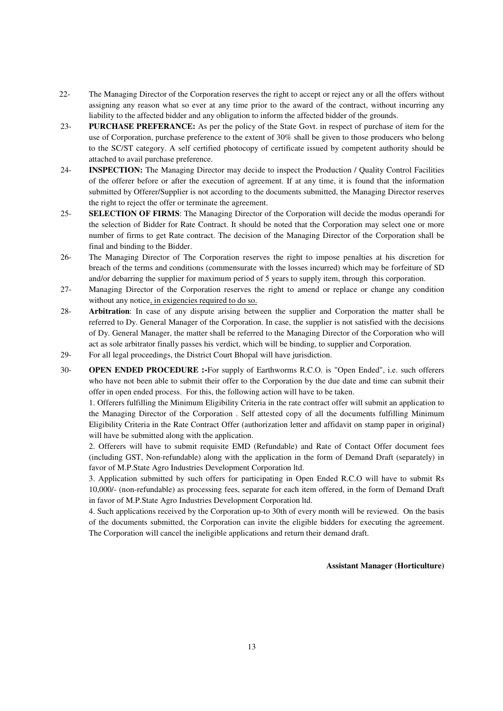- 22- The Managing Director of the Corporation reserves the right to accept or reject any or all the offers without assigning any reason what so ever at any time prior to the award of the contract, without incurring any liability to the affected bidder and any obligation to inform the affected bidder of the grounds.
- 23- **PURCHASE PREFERANCE:** As per the policy of the State Govt. in respect of purchase of item for the use of Corporation, purchase preference to the extent of 30% shall be given to those producers who belong to the SC/ST category. A self certified photocopy of certificate issued by competent authority should be attached to avail purchase preference.
- 24- **INSPECTION:** The Managing Director may decide to inspect the Production / Quality Control Facilities of the offerer before or after the execution of agreement. If at any time, it is found that the information submitted by Offerer/Supplier is not according to the documents submitted, the Managing Director reserves the right to reject the offer or terminate the agreement.
- 25- **SELECTION OF FIRMS**: The Managing Director of the Corporation will decide the modus operandi for the selection of Bidder for Rate Contract. It should be noted that the Corporation may select one or more number of firms to get Rate contract. The decision of the Managing Director of the Corporation shall be final and binding to the Bidder.
- 26- The Managing Director of The Corporation reserves the right to impose penalties at his discretion for breach of the terms and conditions (commensurate with the losses incurred) which may be forfeiture of SD and/or debarring the supplier for maximum period of 5 years to supply item, through this corporation.
- 27- Managing Director of the Corporation reserves the right to amend or replace or change any condition without any notice, in exigencies required to do so.
- 28- **Arbitration**: In case of any dispute arising between the supplier and Corporation the matter shall be referred to Dy. General Manager of the Corporation. In case, the supplier is not satisfied with the decisions of Dy. General Manager, the matter shall be referred to the Managing Director of the Corporation who will act as sole arbitrator finally passes his verdict, which will be binding, to supplier and Corporation.
- 29- For all legal proceedings, the District Court Bhopal will have jurisdiction.
- 30- **OPEN ENDED PROCEDURE :-**For supply of Earthworms R.C.O. is "Open Ended", i.e. such offerers who have not been able to submit their offer to the Corporation by the due date and time can submit their offer in open ended process. For this, the following action will have to be taken.

1. Offerers fulfilling the Minimum Eligibility Criteria in the rate contract offer will submit an application to the Managing Director of the Corporation . Self attested copy of all the documents fulfilling Minimum Eligibility Criteria in the Rate Contract Offer (authorization letter and affidavit on stamp paper in original) will have be submitted along with the application.

2. Offerers will have to submit requisite EMD (Refundable) and Rate of Contact Offer document fees (including GST, Non-refundable) along with the application in the form of Demand Draft (separately) in favor of M.P.State Agro Industries Development Corporation ltd.

3. Application submitted by such offers for participating in Open Ended R.C.O will have to submit Rs 10,000/- (non-refundable) as processing fees, separate for each item offered, in the form of Demand Draft in favor of M.P.State Agro Industries Development Corporation ltd.

4. Such applications received by the Corporation up-to 30th of every month will be reviewed. On the basis of the documents submitted, the Corporation can invite the eligible bidders for executing the agreement. The Corporation will cancel the ineligible applications and return their demand draft.

#### **Assistant Manager (Horticulture)**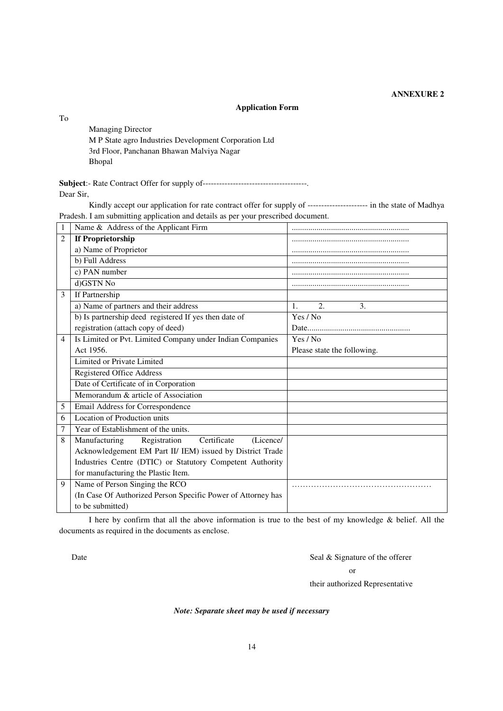## **ANNEXURE 2**

## **Application Form**

To

 Managing Director M P State agro Industries Development Corporation Ltd 3rd Floor, Panchanan Bhawan Malviya Nagar Bhopal

**Subject**:- Rate Contract Offer for supply of--------------------------------------. Dear Sir,

Kindly accept our application for rate contract offer for supply of ---------------------- in the state of Madhya Pradesh. I am submitting application and details as per your prescribed document.

| $\mathbf{1}$   | Name & Address of the Applicant Firm                         |                             |
|----------------|--------------------------------------------------------------|-----------------------------|
| $\overline{c}$ | <b>If Proprietorship</b>                                     |                             |
|                | a) Name of Proprietor                                        |                             |
|                | b) Full Address                                              |                             |
|                | c) PAN number                                                |                             |
|                | d)GSTN No                                                    |                             |
| 3              | If Partnership                                               |                             |
|                | a) Name of partners and their address                        | 2.<br>3.<br>$\mathbf{1}$ .  |
|                | b) Is partnership deed registered If yes then date of        | Yes / No                    |
|                | registration (attach copy of deed)                           |                             |
| $\overline{4}$ | Is Limited or Pvt. Limited Company under Indian Companies    | Yes / No                    |
|                | Act 1956.                                                    | Please state the following. |
|                | Limited or Private Limited                                   |                             |
|                | Registered Office Address                                    |                             |
|                | Date of Certificate of in Corporation                        |                             |
|                | Memorandum & article of Association                          |                             |
| 5              | Email Address for Correspondence                             |                             |
| 6              | Location of Production units                                 |                             |
| 7              | Year of Establishment of the units.                          |                             |
| 8              | Manufacturing<br>Registration<br>Certificate<br>(Licence/    |                             |
|                | Acknowledgement EM Part II/ IEM) issued by District Trade    |                             |
|                | Industries Centre (DTIC) or Statutory Competent Authority    |                             |
|                | for manufacturing the Plastic Item.                          |                             |
| 9              | Name of Person Singing the RCO                               |                             |
|                | (In Case Of Authorized Person Specific Power of Attorney has |                             |
|                | to be submitted)                                             |                             |

 I here by confirm that all the above information is true to the best of my knowledge & belief. All the documents as required in the documents as enclose.

Date Seal & Signature of the offerer

or

their authorized Representative

*Note: Separate sheet may be used if necessary*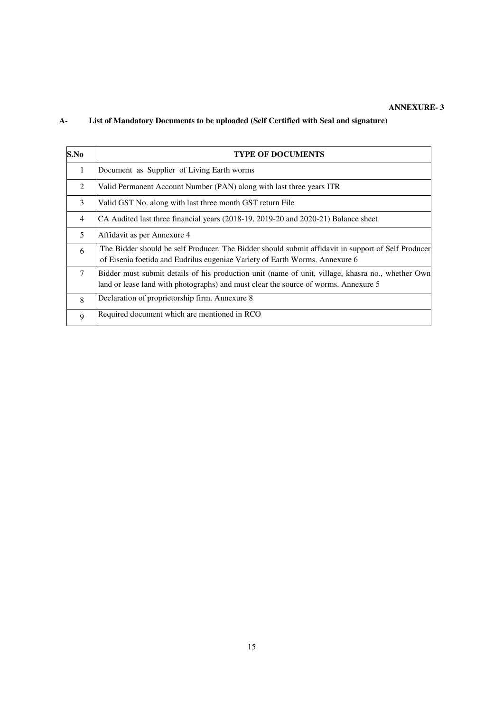## **ANNEXURE- 3**

# **A- List of Mandatory Documents to be uploaded (Self Certified with Seal and signature)**

| S.No           | <b>TYPE OF DOCUMENTS</b>                                                                                                                                                                |
|----------------|-----------------------------------------------------------------------------------------------------------------------------------------------------------------------------------------|
| $\mathbf{1}$   | Document as Supplier of Living Earth worms                                                                                                                                              |
| 2              | Valid Permanent Account Number (PAN) along with last three years ITR                                                                                                                    |
| 3              | Valid GST No. along with last three month GST return File                                                                                                                               |
| $\overline{4}$ | CA Audited last three financial years (2018-19, 2019-20 and 2020-21) Balance sheet                                                                                                      |
| 5              | Affidavit as per Annexure 4                                                                                                                                                             |
| 6              | The Bidder should be self Producer. The Bidder should submit affidavit in support of Self Producer<br>of Eisenia foetida and Eudrilus eugeniae Variety of Earth Worms. Annexure 6       |
| $\tau$         | Bidder must submit details of his production unit (name of unit, village, khasra no., whether Own<br>and or lease land with photographs) and must clear the source of worms. Annexure 5 |
| 8              | Declaration of proprietorship firm. Annexure 8                                                                                                                                          |
| 9              | Required document which are mentioned in RCO                                                                                                                                            |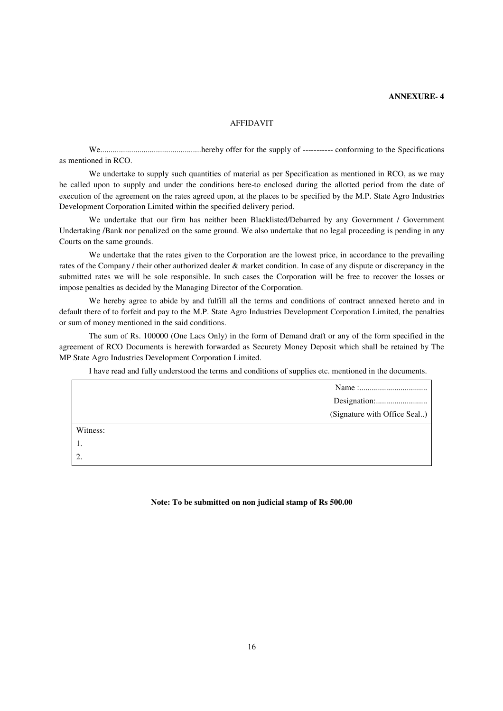#### **ANNEXURE- 4**

#### AFFIDAVIT

 We.................................................hereby offer for the supply of ----------- conforming to the Specifications as mentioned in RCO.

We undertake to supply such quantities of material as per Specification as mentioned in RCO, as we may be called upon to supply and under the conditions here-to enclosed during the allotted period from the date of execution of the agreement on the rates agreed upon, at the places to be specified by the M.P. State Agro Industries Development Corporation Limited within the specified delivery period.

We undertake that our firm has neither been Blacklisted/Debarred by any Government / Government Undertaking /Bank nor penalized on the same ground. We also undertake that no legal proceeding is pending in any Courts on the same grounds.

 We undertake that the rates given to the Corporation are the lowest price, in accordance to the prevailing rates of the Company / their other authorized dealer & market condition. In case of any dispute or discrepancy in the submitted rates we will be sole responsible. In such cases the Corporation will be free to recover the losses or impose penalties as decided by the Managing Director of the Corporation.

 We hereby agree to abide by and fulfill all the terms and conditions of contract annexed hereto and in default there of to forfeit and pay to the M.P. State Agro Industries Development Corporation Limited, the penalties or sum of money mentioned in the said conditions.

 The sum of Rs. 100000 (One Lacs Only) in the form of Demand draft or any of the form specified in the agreement of RCO Documents is herewith forwarded as Securety Money Deposit which shall be retained by The MP State Agro Industries Development Corporation Limited.

I have read and fully understood the terms and conditions of supplies etc. mentioned in the documents.

|          | (Signature with Office Seal) |
|----------|------------------------------|
| Witness: |                              |
| -1.      |                              |
| 2.       |                              |

#### **Note: To be submitted on non judicial stamp of Rs 500.00**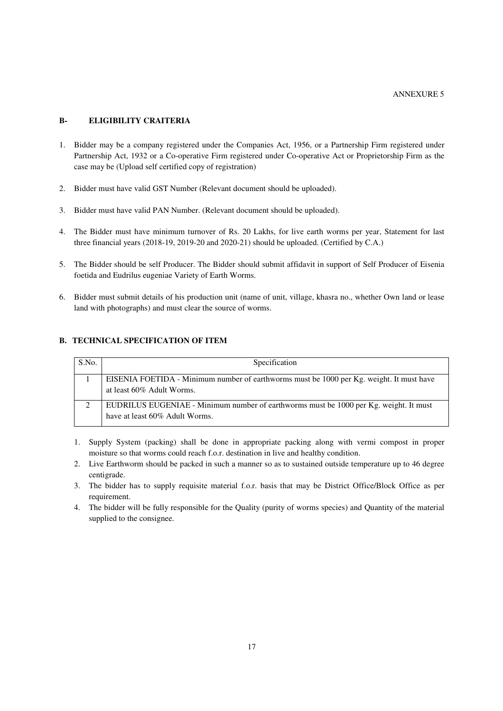#### **B- ELIGIBILITY CRAITERIA**

- 1. Bidder may be a company registered under the Companies Act, 1956, or a Partnership Firm registered under Partnership Act, 1932 or a Co-operative Firm registered under Co-operative Act or Proprietorship Firm as the case may be (Upload self certified copy of registration)
- 2. Bidder must have valid GST Number (Relevant document should be uploaded).
- 3. Bidder must have valid PAN Number. (Relevant document should be uploaded).
- 4. The Bidder must have minimum turnover of Rs. 20 Lakhs, for live earth worms per year, Statement for last three financial years (2018-19, 2019-20 and 2020-21) should be uploaded. (Certified by C.A.)
- 5. The Bidder should be self Producer. The Bidder should submit affidavit in support of Self Producer of Eisenia foetida and Eudrilus eugeniae Variety of Earth Worms.
- 6. Bidder must submit details of his production unit (name of unit, village, khasra no., whether Own land or lease land with photographs) and must clear the source of worms.

## **B. TECHNICAL SPECIFICATION OF ITEM**

| S.No.    | Specification                                                                            |
|----------|------------------------------------------------------------------------------------------|
|          | EISENIA FOETIDA - Minimum number of earthworms must be 1000 per Kg. weight. It must have |
|          | at least 60% Adult Worms.                                                                |
| $\gamma$ | EUDRILUS EUGENIAE - Minimum number of earthworms must be 1000 per Kg. weight. It must    |
|          | have at least 60% Adult Worms.                                                           |

- 1. Supply System (packing) shall be done in appropriate packing along with vermi compost in proper moisture so that worms could reach f.o.r. destination in live and healthy condition.
- 2. Live Earthworm should be packed in such a manner so as to sustained outside temperature up to 46 degree centigrade.
- 3. The bidder has to supply requisite material f.o.r. basis that may be District Office/Block Office as per requirement.
- 4. The bidder will be fully responsible for the Quality (purity of worms species) and Quantity of the material supplied to the consignee.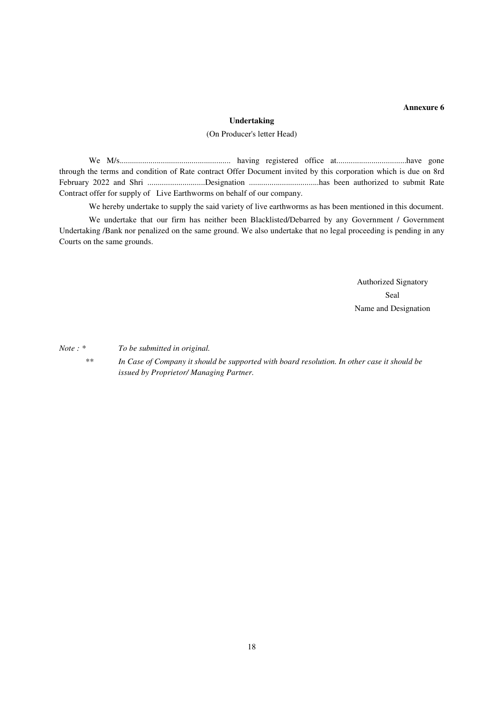### **Annexure 6**

#### **Undertaking**

#### (On Producer's letter Head)

We M/s...................................................... having registered office at..................................have gone through the terms and condition of Rate contract Offer Document invited by this corporation which is due on 8rd February 2022 and Shri ............................Designation ..................................has been authorized to submit Rate Contract offer for supply of Live Earthworms on behalf of our company.

We hereby undertake to supply the said variety of live earthworms as has been mentioned in this document.

We undertake that our firm has neither been Blacklisted/Debarred by any Government / Government Undertaking /Bank nor penalized on the same ground. We also undertake that no legal proceeding is pending in any Courts on the same grounds.

> Authorized Signatory Seal Name and Designation

*Note : \* To be submitted in original.* 

*\*\* In Case of Company it should be supported with board resolution. In other case it should be issued by Proprietor/ Managing Partner.*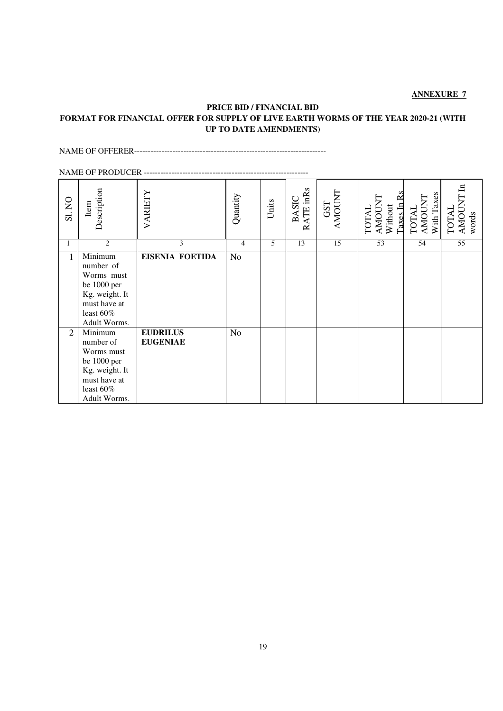## **ANNEXURE 7**

# **PRICE BID / FINANCIAL BID FORMAT FOR FINANCIAL OFFER FOR SUPPLY OF LIVE EARTH WORMS OF THE YEAR 2020-21 (WITH UP TO DATE AMENDMENTS)**

#### NAME OF OFFERER----------------------------------------------------------------------

|                | <b>NAME OF PRODUCER</b>                                                                                                              |                                    |                |       |                           |                             |                                                 |                                      |                                        |
|----------------|--------------------------------------------------------------------------------------------------------------------------------------|------------------------------------|----------------|-------|---------------------------|-----------------------------|-------------------------------------------------|--------------------------------------|----------------------------------------|
| SI. NO         | Description<br>Item                                                                                                                  | VARIETY                            | Quantity       | Units | RATE inRs<br><b>BASIC</b> | <b>ENDONA</b><br><b>GST</b> | AMOUNT<br>Without<br>Taxes In 1<br><b>INIOL</b> | AMOUNT<br>With Taxes<br><b>TOTAL</b> | <b>AMOUNT</b><br><b>TOTAL</b><br>words |
| 1              | $\overline{2}$                                                                                                                       | 3                                  | $\overline{4}$ | 5     | 13                        | 15                          | 53                                              | 54                                   | 55                                     |
| 1              | Minimum<br>number of<br>Worms must<br>be 1000 per<br>Kg. weight. It<br>must have at<br>least $60\%$<br>Adult Worms.                  | <b>EISENIA FOETIDA</b>             | N <sub>o</sub> |       |                           |                             |                                                 |                                      |                                        |
| $\overline{2}$ | $\overline{\text{Minimum}}$<br>number of<br>Worms must<br>be 1000 per<br>Kg. weight. It<br>must have at<br>least 60%<br>Adult Worms. | <b>EUDRILUS</b><br><b>EUGENIAE</b> | N <sub>o</sub> |       |                           |                             |                                                 |                                      |                                        |

# 19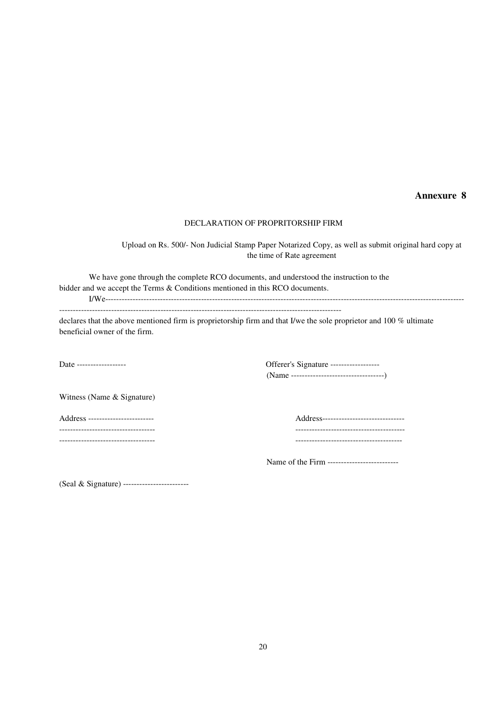# **Annexure 8**

#### DECLARATION OF PROPRITORSHIP FIRM

Upload on Rs. 500/- Non Judicial Stamp Paper Notarized Copy, as well as submit original hard copy at the time of Rate agreement

We have gone through the complete RCO documents, and understood the instruction to the bidder and we accept the Terms & Conditions mentioned in this RCO documents.

I/We-----------------------------------------------------------------------------------------------------------------------------------

-------------------------------------------------------------------------------------------------------

declares that the above mentioned firm is proprietorship firm and that I/we the sole proprietor and 100 % ultimate beneficial owner of the firm.

Date ------------------ Offerer's Signature ------------------ (Name ----------------------------------)

Witness (Name & Signature)

Address ------------------------ Address------------------------------ ----------------------------------- ---------------------------------------- ----------------------------------- ---------------------------------------

Name of the Firm --------------------------

(Seal & Signature) ------------------------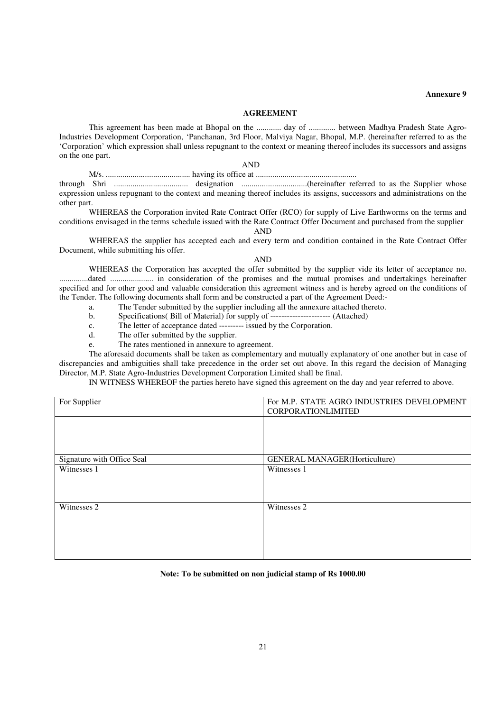**Annexure 9** 

#### **AGREEMENT**

 This agreement has been made at Bhopal on the ............ day of ............. between Madhya Pradesh State Agro-Industries Development Corporation, 'Panchanan, 3rd Floor, Malviya Nagar, Bhopal, M.P. (hereinafter referred to as the 'Corporation' which expression shall unless repugnant to the context or meaning thereof includes its successors and assigns on the one part.

AND

 M/s. ......................................... having its office at ................................................. through Shri .................................... designation ................................(hereinafter referred to as the Supplier whose expression unless repugnant to the context and meaning thereof includes its assigns, successors and administrations on the other part.

 WHEREAS the Corporation invited Rate Contract Offer (RCO) for supply of Live Earthworms on the terms and conditions envisaged in the terms schedule issued with the Rate Contract Offer Document and purchased from the supplier AND

WHEREAS the supplier has accepted each and every term and condition contained in the Rate Contract Offer Document, while submitting his offer.

#### AND

WHEREAS the Corporation has accepted the offer submitted by the supplier vide its letter of acceptance no. ..............dated ..................... in consideration of the promises and the mutual promises and undertakings hereinafter specified and for other good and valuable consideration this agreement witness and is hereby agreed on the conditions of the Tender. The following documents shall form and be constructed a part of the Agreement Deed:-

- a. The Tender submitted by the supplier including all the annexure attached thereto.
- b. Specifications( Bill of Material) for supply of ---------------------- (Attached)
- c. The letter of acceptance dated --------- issued by the Corporation.
- d. The offer submitted by the supplier.
- e. The rates mentioned in annexure to agreement.

 The aforesaid documents shall be taken as complementary and mutually explanatory of one another but in case of discrepancies and ambiguities shall take precedence in the order set out above. In this regard the decision of Managing Director, M.P. State Agro-Industries Development Corporation Limited shall be final.

IN WITNESS WHEREOF the parties hereto have signed this agreement on the day and year referred to above.

| For Supplier               | For M.P. STATE AGRO INDUSTRIES DEVELOPMENT<br>CORPORATIONLIMITED |
|----------------------------|------------------------------------------------------------------|
|                            |                                                                  |
|                            |                                                                  |
|                            |                                                                  |
| Signature with Office Seal | <b>GENERAL MANAGER(Horticulture)</b>                             |
| Witnesses 1                | Witnesses 1                                                      |
|                            |                                                                  |
|                            |                                                                  |
| Witnesses 2                | Witnesses 2                                                      |
|                            |                                                                  |
|                            |                                                                  |
|                            |                                                                  |
|                            |                                                                  |
|                            |                                                                  |

#### **Note: To be submitted on non judicial stamp of Rs 1000.00**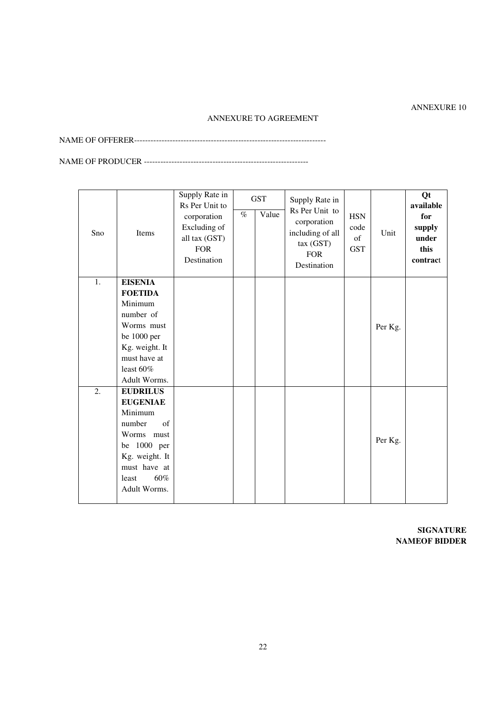# ANNEXURE 10

## ANNEXURE TO AGREEMENT

NAME OF OFFERER----------------------------------------------------------------------

NAME OF PRODUCER ------------------------------------------------------------

| Sno              | Items           | Supply Rate in<br>Rs Per Unit to<br>corporation<br>Excluding of<br>all tax (GST)<br><b>FOR</b><br>Destination | $\%$ | <b>GST</b><br>Value | Supply Rate in<br>Rs Per Unit to<br>corporation<br>including of all<br>tax(GST)<br><b>FOR</b><br>Destination | <b>HSN</b><br>code<br>of<br><b>GST</b> | Unit    | Qt<br>available<br>for<br>supply<br>under<br>this<br>contract |
|------------------|-----------------|---------------------------------------------------------------------------------------------------------------|------|---------------------|--------------------------------------------------------------------------------------------------------------|----------------------------------------|---------|---------------------------------------------------------------|
| 1.               | <b>EISENIA</b>  |                                                                                                               |      |                     |                                                                                                              |                                        |         |                                                               |
|                  | <b>FOETIDA</b>  |                                                                                                               |      |                     |                                                                                                              |                                        |         |                                                               |
|                  | Minimum         |                                                                                                               |      |                     |                                                                                                              |                                        |         |                                                               |
|                  | number of       |                                                                                                               |      |                     |                                                                                                              |                                        |         |                                                               |
|                  | Worms must      |                                                                                                               |      |                     |                                                                                                              |                                        | Per Kg. |                                                               |
|                  | be 1000 per     |                                                                                                               |      |                     |                                                                                                              |                                        |         |                                                               |
|                  | Kg. weight. It  |                                                                                                               |      |                     |                                                                                                              |                                        |         |                                                               |
|                  | must have at    |                                                                                                               |      |                     |                                                                                                              |                                        |         |                                                               |
|                  | least 60%       |                                                                                                               |      |                     |                                                                                                              |                                        |         |                                                               |
|                  | Adult Worms.    |                                                                                                               |      |                     |                                                                                                              |                                        |         |                                                               |
| $\overline{2}$ . | <b>EUDRILUS</b> |                                                                                                               |      |                     |                                                                                                              |                                        |         |                                                               |
|                  | <b>EUGENIAE</b> |                                                                                                               |      |                     |                                                                                                              |                                        |         |                                                               |
|                  | Minimum         |                                                                                                               |      |                     |                                                                                                              |                                        |         |                                                               |
|                  | of<br>number    |                                                                                                               |      |                     |                                                                                                              |                                        |         |                                                               |
|                  | Worms must      |                                                                                                               |      |                     |                                                                                                              |                                        | Per Kg. |                                                               |
|                  | 1000 per<br>be  |                                                                                                               |      |                     |                                                                                                              |                                        |         |                                                               |
|                  | Kg. weight. It  |                                                                                                               |      |                     |                                                                                                              |                                        |         |                                                               |
|                  | must have at    |                                                                                                               |      |                     |                                                                                                              |                                        |         |                                                               |
|                  | 60%<br>least    |                                                                                                               |      |                     |                                                                                                              |                                        |         |                                                               |
|                  | Adult Worms.    |                                                                                                               |      |                     |                                                                                                              |                                        |         |                                                               |

**SIGNATURE NAMEOF BIDDER**